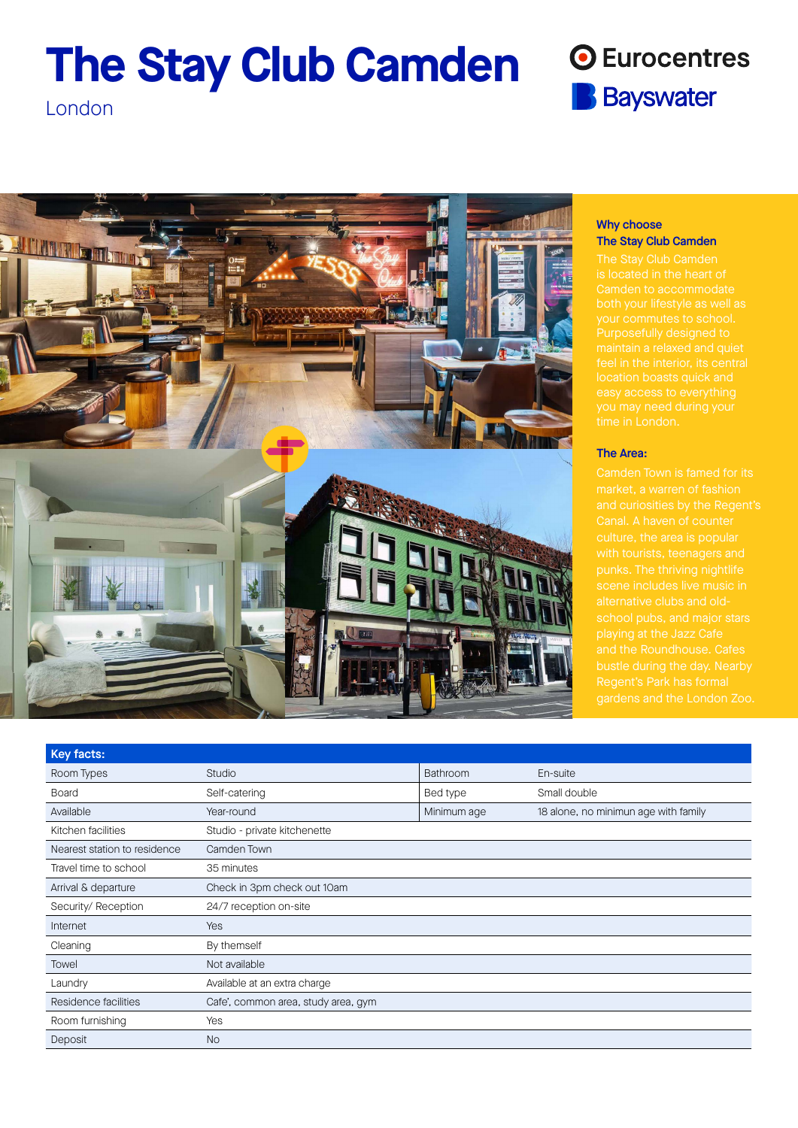# **The Stay Club Camden**

## **O** Eurocentres **B** Bayswater

London



## Why choose The Stay Club Camden

## The Area:

gardens and the London Zoo.

| Key facts:                   |                                     |             |                                      |
|------------------------------|-------------------------------------|-------------|--------------------------------------|
| Room Types                   | Studio                              | Bathroom    | En-suite                             |
| <b>Board</b>                 | Self-catering                       | Bed type    | Small double                         |
| Available                    | Year-round                          | Minimum age | 18 alone, no minimun age with family |
| Kitchen facilities           | Studio - private kitchenette        |             |                                      |
| Nearest station to residence | Camden Town                         |             |                                      |
| Travel time to school        | 35 minutes                          |             |                                      |
| Arrival & departure          | Check in 3pm check out 10am         |             |                                      |
| Security/ Reception          | 24/7 reception on-site              |             |                                      |
| Internet                     | Yes                                 |             |                                      |
| Cleaning                     | By themself                         |             |                                      |
| Towel                        | Not available                       |             |                                      |
| Laundry                      | Available at an extra charge        |             |                                      |
| Residence facilities         | Cafe', common area, study area, gym |             |                                      |
| Room furnishing              | Yes                                 |             |                                      |
| Deposit                      | <b>No</b>                           |             |                                      |